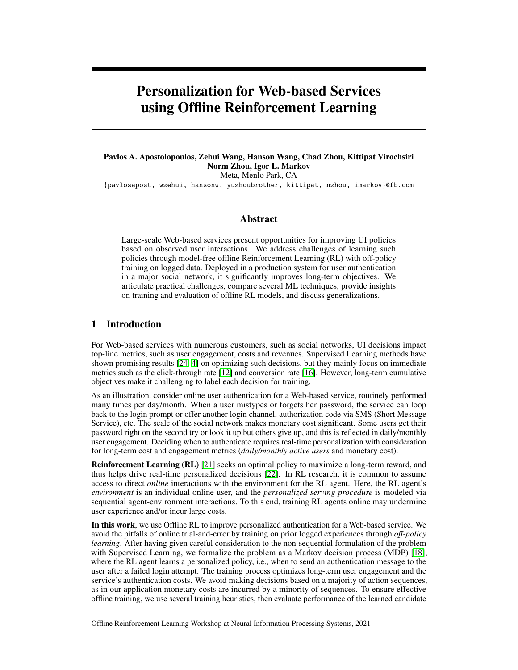# Personalization for Web-based Services using Offline Reinforcement Learning

# Pavlos A. Apostolopoulos, Zehui Wang, Hanson Wang, Chad Zhou, Kittipat Virochsiri Norm Zhou, Igor L. Markov Meta, Menlo Park, CA

{pavlosapost, wzehui, hansonw, yuzhoubrother, kittipat, nzhou, imarkov}@fb.com

#### Abstract

Large-scale Web-based services present opportunities for improving UI policies based on observed user interactions. We address challenges of learning such policies through model-free offline Reinforcement Learning (RL) with off-policy training on logged data. Deployed in a production system for user authentication in a major social network, it significantly improves long-term objectives. We articulate practical challenges, compare several ML techniques, provide insights on training and evaluation of offline RL models, and discuss generalizations.

## 1 Introduction

For Web-based services with numerous customers, such as social networks, UI decisions impact top-line metrics, such as user engagement, costs and revenues. Supervised Learning methods have shown promising results [\[24,](#page-9-0) [4\]](#page-8-0) on optimizing such decisions, but they mainly focus on immediate metrics such as the click-through rate [\[12\]](#page-8-1) and conversion rate [\[16\]](#page-8-2). However, long-term cumulative objectives make it challenging to label each decision for training.

As an illustration, consider online user authentication for a Web-based service, routinely performed many times per day/month. When a user mistypes or forgets her password, the service can loop back to the login prompt or offer another login channel, authorization code via SMS (Short Message Service), etc. The scale of the social network makes monetary cost significant. Some users get their password right on the second try or look it up but others give up, and this is reflected in daily/monthly user engagement. Deciding when to authenticate requires real-time personalization with consideration for long-term cost and engagement metrics (*daily/monthly active users* and monetary cost).

Reinforcement Learning (RL) [\[21\]](#page-9-1) seeks an optimal policy to maximize a long-term reward, and thus helps drive real-time personalized decisions [\[22\]](#page-9-2). In RL research, it is common to assume access to direct *online* interactions with the environment for the RL agent. Here, the RL agent's *environment* is an individual online user, and the *personalized serving procedure* is modeled via sequential agent-environment interactions. To this end, training RL agents online may undermine user experience and/or incur large costs.

In this work, we use Offline RL to improve personalized authentication for a Web-based service. We avoid the pitfalls of online trial-and-error by training on prior logged experiences through *off-policy learning*. After having given careful consideration to the non-sequential formulation of the problem with Supervised Learning, we formalize the problem as a Markov decision process (MDP) [\[18\]](#page-8-3), where the RL agent learns a personalized policy, i.e., when to send an authentication message to the user after a failed login attempt. The training process optimizes long-term user engagement and the service's authentication costs. We avoid making decisions based on a majority of action sequences, as in our application monetary costs are incurred by a minority of sequences. To ensure effective offline training, we use several training heuristics, then evaluate performance of the learned candidate

Offline Reinforcement Learning Workshop at Neural Information Processing Systems, 2021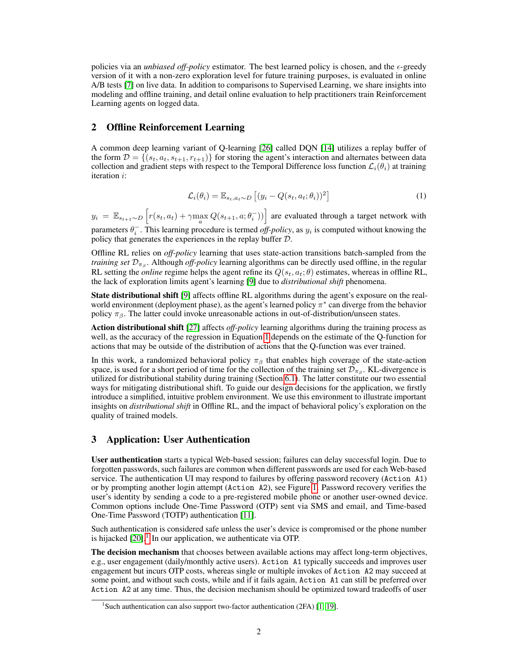policies via an *unbiased off-policy* estimator. The best learned policy is chosen, and the  $\epsilon$ -greedy version of it with a non-zero exploration level for future training purposes, is evaluated in online A/B tests [\[7\]](#page-8-4) on live data. In addition to comparisons to Supervised Learning, we share insights into modeling and offline training, and detail online evaluation to help practitioners train Reinforcement Learning agents on logged data.

## <span id="page-1-2"></span>2 Offline Reinforcement Learning

A common deep learning variant of Q-learning [\[26\]](#page-9-3) called DQN [\[14\]](#page-8-5) utilizes a replay buffer of the form  $\mathcal{D} = \{(s_t, a_t, s_{t+1}, r_{t+1})\}$  for storing the agent's interaction and alternates between data collection and gradient steps with respect to the Temporal Difference loss function  $\mathcal{L}_i(\theta_i)$  at training iteration i:

$$
\mathcal{L}_i(\theta_i) = \mathbb{E}_{s_t, a_t \sim D} \left[ (y_i - Q(s_t, a_t; \theta_i))^2 \right]
$$
\n(1)

<span id="page-1-0"></span> $y_i = \mathbb{E}_{s_{t+1} \sim D} \left[ r(s_t, a_t) + \gamma \max_a Q(s_{t+1}, a; \theta_i^{-})) \right]$  are evaluated through a target network with

parameters  $\theta_i^-$ . This learning procedure is termed *off-policy*, as  $y_i$  is computed without knowing the policy that generates the experiences in the replay buffer D.

Offline RL relies on *off-policy* learning that uses state-action transitions batch-sampled from the *training set*  $\mathcal{D}_{\pi_{\beta}}$ . Although *off-policy* learning algorithms can be directly used offline, in the regular RL setting the *online* regime helps the agent refine its  $Q(s_t, a_t; \theta)$  estimates, whereas in offline RL, the lack of exploration limits agent's learning [\[9\]](#page-8-6) due to *distributional shift* phenomena.

State distributional shift [\[9\]](#page-8-6) affects offline RL algorithms during the agent's exposure on the realworld environment (deployment phase), as the agent's learned policy  $\pi^*$  can diverge from the behavior policy  $\pi_{\beta}$ . The latter could invoke unreasonable actions in out-of-distribution/unseen states.

Action distributional shift [\[27\]](#page-9-4) affects *off-policy* learning algorithms during the training process as well, as the accuracy of the regression in Equation [1](#page-1-0) depends on the estimate of the Q-function for actions that may be outside of the distribution of actions that the Q-function was ever trained.

In this work, a randomized behavioral policy  $\pi_\beta$  that enables high coverage of the state-action space, is used for a short period of time for the collection of the training set  $\mathcal{D}_{\pi_{\beta}}$ . KL-divergence is utilized for distributional stability during training (Section [6.1\)](#page-5-0). The latter constitute our two essential ways for mitigating distributional shift. To guide our design decisions for the application, we firstly introduce a simplified, intuitive problem environment. We use this environment to illustrate important insights on *distributional shift* in Offline RL, and the impact of behavioral policy's exploration on the quality of trained models.

## 3 Application: User Authentication

User authentication starts a typical Web-based session; failures can delay successful login. Due to forgotten passwords, such failures are common when different passwords are used for each Web-based service. The authentication UI may respond to failures by offering password recovery (Action A1) or by prompting another login attempt (Action A2), see Figure [1.](#page-2-0) Password recovery verifies the user's identity by sending a code to a pre-registered mobile phone or another user-owned device. Common options include One-Time Password (OTP) sent via SMS and email, and Time-based One-Time Password (TOTP) authentication [\[11\]](#page-8-7).

Such authentication is considered safe unless the user's device is compromised or the phone number is hijacked  $[20]$ .<sup>[1](#page-1-1)</sup> In our application, we authenticate via OTP.

The decision mechanism that chooses between available actions may affect long-term objectives, e.g., user engagement (daily/monthly active users). Action A1 typically succeeds and improves user engagement but incurs OTP costs, whereas single or multiple invokes of Action A2 may succeed at some point, and without such costs, while and if it fails again, Action A1 can still be preferred over Action A2 at any time. Thus, the decision mechanism should be optimized toward tradeoffs of user

<span id="page-1-1"></span><sup>&</sup>lt;sup>1</sup>Such authentication can also support two-factor authentication (2FA) [\[1,](#page-8-8) [19\]](#page-9-6).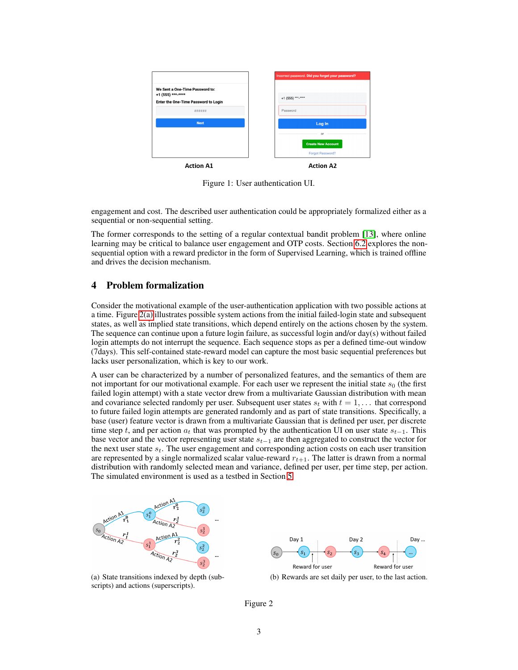<span id="page-2-0"></span>

Figure 1: User authentication UI.

engagement and cost. The described user authentication could be appropriately formalized either as a sequential or non-sequential setting.

The former corresponds to the setting of a regular contextual bandit problem [\[13\]](#page-8-9), where online learning may be critical to balance user engagement and OTP costs. Section [6.2](#page-5-1) explores the nonsequential option with a reward predictor in the form of Supervised Learning, which is trained offline and drives the decision mechanism.

### <span id="page-2-3"></span>4 Problem formalization

Consider the motivational example of the user-authentication application with two possible actions at a time. Figure [2\(a\)](#page-2-1) illustrates possible system actions from the initial failed-login state and subsequent states, as well as implied state transitions, which depend entirely on the actions chosen by the system. The sequence can continue upon a future login failure, as successful login and/or day(s) without failed login attempts do not interrupt the sequence. Each sequence stops as per a defined time-out window (7days). This self-contained state-reward model can capture the most basic sequential preferences but lacks user personalization, which is key to our work.

A user can be characterized by a number of personalized features, and the semantics of them are not important for our motivational example. For each user we represent the initial state  $s_0$  (the first failed login attempt) with a state vector drew from a multivariate Gaussian distribution with mean and covariance selected randomly per user. Subsequent user states  $s_t$  with  $t = 1, \ldots$  that correspond to future failed login attempts are generated randomly and as part of state transitions. Specifically, a base (user) feature vector is drawn from a multivariate Gaussian that is defined per user, per discrete time step t, and per action  $a_t$  that was prompted by the authentication UI on user state  $s_{t-1}$ . This base vector and the vector representing user state  $s_{t-1}$  are then aggregated to construct the vector for the next user state  $s_t$ . The user engagement and corresponding action costs on each user transition are represented by a single normalized scalar value-reward  $r_{t+1}$ . The latter is drawn from a normal distribution with randomly selected mean and variance, defined per user, per time step, per action. The simulated environment is used as a testbed in Section [5.](#page-3-0)

<span id="page-2-1"></span>

(a) State transitions indexed by depth (subscripts) and actions (superscripts).



<span id="page-2-2"></span>(b) Rewards are set daily per user, to the last action.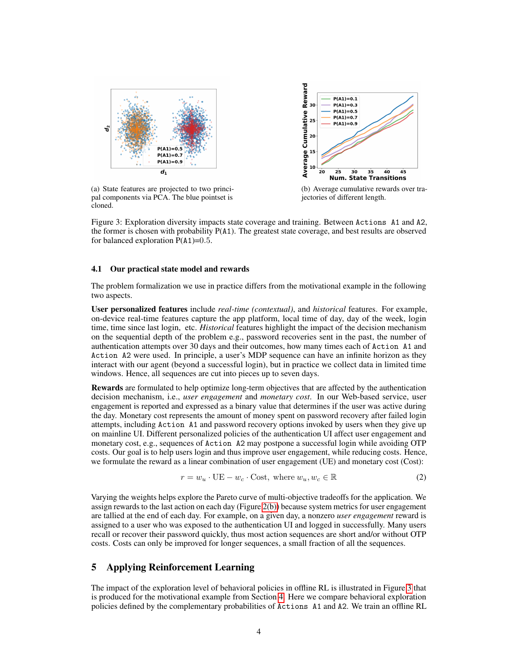<span id="page-3-2"></span><span id="page-3-1"></span>



(a) State features are projected to two principal components via PCA. The blue pointset is cloned.

<span id="page-3-3"></span>(b) Average cumulative rewards over trajectories of different length.

Figure 3: Exploration diversity impacts state coverage and training. Between Actions A1 and A2, the former is chosen with probability P(A1). The greatest state coverage, and best results are observed for balanced exploration  $P(A1)=0.5$ .

#### <span id="page-3-5"></span>4.1 Our practical state model and rewards

The problem formalization we use in practice differs from the motivational example in the following two aspects.

User personalized features include *real-time (contextual)*, and *historical* features. For example, on-device real-time features capture the app platform, local time of day, day of the week, login time, time since last login, etc. *Historical* features highlight the impact of the decision mechanism on the sequential depth of the problem e.g., password recoveries sent in the past, the number of authentication attempts over 30 days and their outcomes, how many times each of Action A1 and Action A2 were used. In principle, a user's MDP sequence can have an infinite horizon as they interact with our agent (beyond a successful login), but in practice we collect data in limited time windows. Hence, all sequences are cut into pieces up to seven days.

Rewards are formulated to help optimize long-term objectives that are affected by the authentication decision mechanism, i.e., *user engagement* and *monetary cost*. In our Web-based service, user engagement is reported and expressed as a binary value that determines if the user was active during the day. Monetary cost represents the amount of money spent on password recovery after failed login attempts, including Action A1 and password recovery options invoked by users when they give up on mainline UI. Different personalized policies of the authentication UI affect user engagement and monetary cost, e.g., sequences of Action A2 may postpone a successful login while avoiding OTP costs. Our goal is to help users login and thus improve user engagement, while reducing costs. Hence, we formulate the reward as a linear combination of user engagement (UE) and monetary cost (Cost):

<span id="page-3-4"></span>
$$
r = w_u \cdot \text{UE} - w_c \cdot \text{Cost}, \text{ where } w_u, w_c \in \mathbb{R} \tag{2}
$$

Varying the weights helps explore the Pareto curve of multi-objective tradeoffs for the application. We assign rewards to the last action on each day (Figure [2\(b\)\)](#page-2-2) because system metrics for user engagement are tallied at the end of each day. For example, on a given day, a nonzero *user engagement* reward is assigned to a user who was exposed to the authentication UI and logged in successfully. Many users recall or recover their password quickly, thus most action sequences are short and/or without OTP costs. Costs can only be improved for longer sequences, a small fraction of all the sequences.

## <span id="page-3-0"></span>5 Applying Reinforcement Learning

The impact of the exploration level of behavioral policies in offline RL is illustrated in Figure [3](#page-3-1) that is produced for the motivational example from Section [4.](#page-2-3) Here we compare behavioral exploration policies defined by the complementary probabilities of Actions A1 and A2. We train an offline RL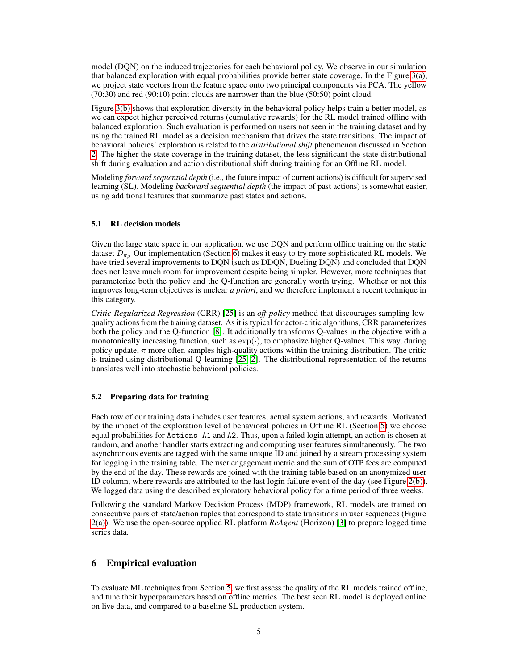model (DQN) on the induced trajectories for each behavioral policy. We observe in our simulation that balanced exploration with equal probabilities provide better state coverage. In the Figure [3\(a\),](#page-3-2) we project state vectors from the feature space onto two principal components via PCA. The yellow (70:30) and red (90:10) point clouds are narrower than the blue (50:50) point cloud.

Figure [3\(b\)](#page-3-3) shows that exploration diversity in the behavioral policy helps train a better model, as we can expect higher perceived returns (cumulative rewards) for the RL model trained offline with balanced exploration. Such evaluation is performed on users not seen in the training dataset and by using the trained RL model as a decision mechanism that drives the state transitions. The impact of behavioral policies' exploration is related to the *distributional shift* phenomenon discussed in Section [2.](#page-1-2) The higher the state coverage in the training dataset, the less significant the state distributional shift during evaluation and action distributional shift during training for an Offline RL model.

Modeling *forward sequential depth* (i.e., the future impact of current actions) is difficult for supervised learning (SL). Modeling *backward sequential depth* (the impact of past actions) is somewhat easier, using additional features that summarize past states and actions.

#### <span id="page-4-1"></span>5.1 RL decision models

Given the large state space in our application, we use DQN and perform offline training on the static dataset  $\mathcal{D}_{\pi}$  Our implementation (Section [6\)](#page-4-0) makes it easy to try more sophisticated RL models. We have tried several improvements to DQN (such as DDQN, Dueling DQN) and concluded that DQN does not leave much room for improvement despite being simpler. However, more techniques that parameterize both the policy and the Q-function are generally worth trying. Whether or not this improves long-term objectives is unclear *a priori*, and we therefore implement a recent technique in this category.

*Critic-Regularized Regression* (CRR) [\[25\]](#page-9-7) is an *off-policy* method that discourages sampling lowquality actions from the training dataset. As it is typical for actor-critic algorithms, CRR parameterizes both the policy and the Q-function [\[8\]](#page-8-10). It additionally transforms Q-values in the objective with a monotonically increasing function, such as  $\exp(\cdot)$ , to emphasize higher Q-values. This way, during policy update,  $\pi$  more often samples high-quality actions within the training distribution. The critic is trained using distributional Q-learning [\[25,](#page-9-7) [2\]](#page-8-11). The distributional representation of the returns translates well into stochastic behavioral policies.

#### <span id="page-4-2"></span>5.2 Preparing data for training

Each row of our training data includes user features, actual system actions, and rewards. Motivated by the impact of the exploration level of behavioral policies in Offline RL (Section [5\)](#page-3-0) we choose equal probabilities for Actions A1 and A2. Thus, upon a failed login attempt, an action is chosen at random, and another handler starts extracting and computing user features simultaneously. The two asynchronous events are tagged with the same unique ID and joined by a stream processing system for logging in the training table. The user engagement metric and the sum of OTP fees are computed by the end of the day. These rewards are joined with the training table based on an anonymized user ID column, where rewards are attributed to the last login failure event of the day (see Figure [2\(b\)\)](#page-2-2). We logged data using the described exploratory behavioral policy for a time period of three weeks.

Following the standard Markov Decision Process (MDP) framework, RL models are trained on consecutive pairs of state/action tuples that correspond to state transitions in user sequences (Figure [2\(a\)\)](#page-2-1). We use the open-source applied RL platform *ReAgent* (Horizon) [\[3\]](#page-8-12) to prepare logged time series data.

# <span id="page-4-0"></span>6 Empirical evaluation

To evaluate ML techniques from Section [5,](#page-3-0) we first assess the quality of the RL models trained offline, and tune their hyperparameters based on offline metrics. The best seen RL model is deployed online on live data, and compared to a baseline SL production system.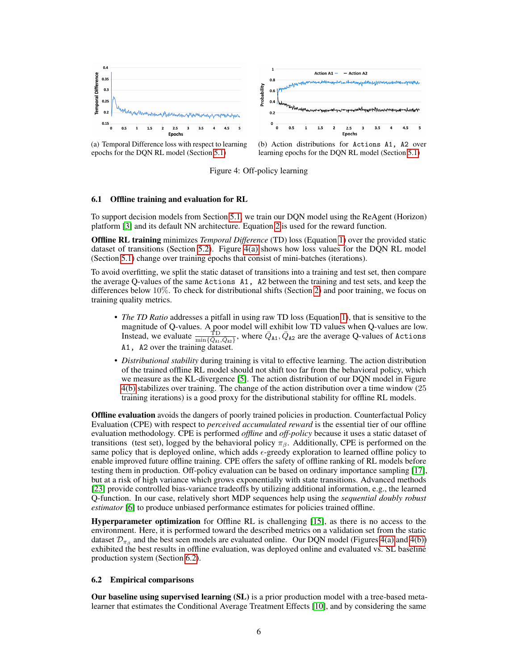<span id="page-5-2"></span>

(a) Temporal Difference loss with respect to learning epochs for the DQN RL model (Section [5.1\)](#page-4-1)

<span id="page-5-3"></span>

Figure 4: Off-policy learning

#### <span id="page-5-0"></span>6.1 Offline training and evaluation for RL

To support decision models from Section [5.1,](#page-4-1) we train our DQN model using the ReAgent (Horizon) platform [\[3\]](#page-8-12) and its default NN architecture. Equation [2](#page-3-4) is used for the reward function.

Offline RL training minimizes *Temporal Difference* (TD) loss (Equation [1\)](#page-1-0) over the provided static dataset of transitions (Section [5.2\)](#page-4-2). Figure [4\(a\)](#page-5-2) shows how loss values for the DQN RL model (Section [5.1\)](#page-4-1) change over training epochs that consist of mini-batches (iterations).

To avoid overfitting, we split the static dataset of transitions into a training and test set, then compare the average Q-values of the same Actions A1, A2 between the training and test sets, and keep the differences below 10%. To check for distributional shifts (Section [2\)](#page-1-2) and poor training, we focus on training quality metrics.

- *The TD Ratio* addresses a pitfall in using raw TD loss (Equation [1\)](#page-1-0), that is sensitive to the magnitude of Q-values. A poor model will exhibit low TD values when Q-values are low. Instead, we evaluate  $\frac{\text{TD}}{\min\{\bar{Q}_A,\bar{Q}_{A2}\}}$ , where  $\bar{Q}_{A1},\bar{Q}_{A2}$  are the average Q-values of Actions A1, A2 over the training dataset.
- *Distributional stability* during training is vital to effective learning. The action distribution of the trained offline RL model should not shift too far from the behavioral policy, which we measure as the KL-divergence [\[5\]](#page-8-13). The action distribution of our DQN model in Figure [4\(b\)](#page-5-3) stabilizes over training. The change of the action distribution over a time window (25 training iterations) is a good proxy for the distributional stability for offline RL models.

**Offline evaluation** avoids the dangers of poorly trained policies in production. Counterfactual Policy Evaluation (CPE) with respect to *perceived accumulated reward* is the essential tier of our offline evaluation methodology. CPE is performed *offline* and *off-policy* because it uses a static dataset of transitions (test set), logged by the behavioral policy  $\pi_\beta$ . Additionally, CPE is performed on the same policy that is deployed online, which adds  $\epsilon$ -greedy exploration to learned offline policy to enable improved future offline training. CPE offers the safety of offline ranking of RL models before testing them in production. Off-policy evaluation can be based on ordinary importance sampling [\[17\]](#page-8-14), but at a risk of high variance which grows exponentially with state transitions. Advanced methods [\[23\]](#page-9-8) provide controlled bias-variance tradeoffs by utilizing additional information, e.g., the learned Q-function. In our case, relatively short MDP sequences help using the *sequential doubly robust estimator* [\[6\]](#page-8-15) to produce unbiased performance estimates for policies trained offline.

Hyperparameter optimization for Offline RL is challenging [\[15\]](#page-8-16), as there is no access to the environment. Here, it is performed toward the described metrics on a validation set from the static dataset  $\mathcal{D}_{\pi_{\beta}}$  and the best seen models are evaluated online. Our DQN model (Figures [4\(a\)](#page-5-2) and [4\(b\)\)](#page-5-3) exhibited the best results in offline evaluation, was deployed online and evaluated vs. SL baseline production system (Section [6.2\)](#page-5-1).

#### <span id="page-5-1"></span>6.2 Empirical comparisons

Our baseline using supervised learning (SL) is a prior production model with a tree-based metalearner that estimates the Conditional Average Treatment Effects [\[10\]](#page-8-17), and by considering the same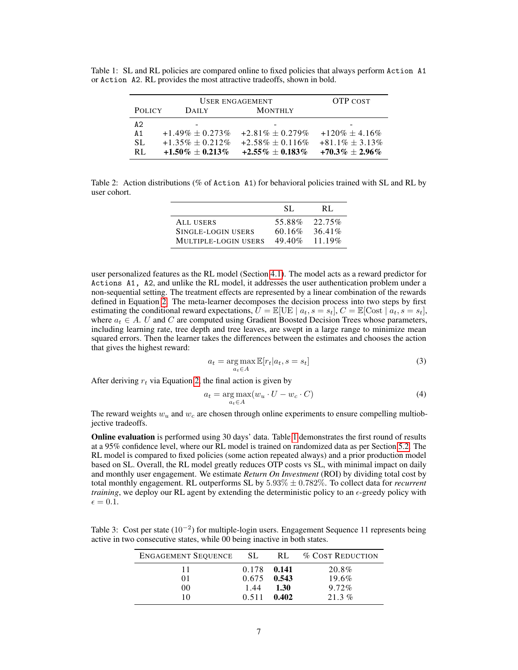<span id="page-6-0"></span>Table 1: SL and RL policies are compared online to fixed policies that always perform Action A1 or Action A2. RL provides the most attractive tradeoffs, shown in bold.

|               | USER ENGAGEMENT       | <b>OTP COST</b>       |                      |
|---------------|-----------------------|-----------------------|----------------------|
| <b>POLICY</b> | <b>DAILY</b>          | <b>MONTHLY</b>        |                      |
| A2            |                       |                       |                      |
| A1            | $+1.49\% \pm 0.273\%$ | $+2.81\% + 0.279\%$   | $+120\% + 4.16\%$    |
| SL.           | $+1.35\% \pm 0.212\%$ | $+2.58\% \pm 0.116\%$ | $+81.1\% \pm 3.13\%$ |
| RL.           | $+1.50\% \pm 0.213\%$ | $+2.55\% \pm 0.183\%$ | $+70.3\% \pm 2.96\%$ |

<span id="page-6-1"></span>Table 2: Action distributions (% of Action A1) for behavioral policies trained with SL and RL by user cohort.

|                      | SL.       | RL.       |
|----------------------|-----------|-----------|
| ALL USERS            | 55.88%    | $22.75\%$ |
| SINGLE-LOGIN USERS   | $60.16\%$ | $36.41\%$ |
| MULTIPLE-LOGIN USERS | $49.40\%$ | $11.19\%$ |

user personalized features as the RL model (Section [4.1\)](#page-3-5). The model acts as a reward predictor for Actions A1, A2, and unlike the RL model, it addresses the user authentication problem under a non-sequential setting. The treatment effects are represented by a linear combination of the rewards defined in Equation [2.](#page-3-4) The meta-learner decomposes the decision process into two steps by first estimating the conditional reward expectations,  $U = \mathbb{E}[\text{UE} | a_t, s = s_t], C = \mathbb{E}[\text{Cost} | a_t, s = s_t],$ where  $a_t \in A$ . U and C are computed using Gradient Boosted Decision Trees whose parameters, including learning rate, tree depth and tree leaves, are swept in a large range to minimize mean squared errors. Then the learner takes the differences between the estimates and chooses the action that gives the highest reward:

$$
a_t = \underset{a_t \in A}{\arg \max} \mathbb{E}[r_t|a_t, s = s_t]
$$
\n(3)

After deriving  $r_t$  via Equation [2,](#page-3-4) the final action is given by

$$
a_t = \underset{a_t \in A}{\arg \max}(w_u \cdot U - w_c \cdot C) \tag{4}
$$

The reward weights  $w_u$  and  $w_c$  are chosen through online experiments to ensure compelling multiobjective tradeoffs.

Online evaluation is performed using 30 days' data. Table [1](#page-6-0) demonstrates the first round of results at a 95% confidence level, where our RL model is trained on randomized data as per Section [5.2.](#page-4-2) The RL model is compared to fixed policies (some action repeated always) and a prior production model based on SL. Overall, the RL model greatly reduces OTP costs vs SL, with minimal impact on daily and monthly user engagement. We estimate *Return On Investment* (ROI) by dividing total cost by total monthly engagement. RL outperforms SL by 5.93% ± 0.782%. To collect data for *recurrent training*, we deploy our RL agent by extending the deterministic policy to an  $\epsilon$ -greedy policy with  $\epsilon = 0.1$ .

<span id="page-6-2"></span>Table 3: Cost per state (10<sup>-2</sup>) for multiple-login users. Engagement Sequence 11 represents being active in two consecutive states, while 00 being inactive in both states.

| <b>ENGAGEMENT SEQUENCE</b> | - SL          | RL.   | <b>% COST REDUCTION</b> |
|----------------------------|---------------|-------|-------------------------|
|                            | 0.178 0.141   |       | 20.8%                   |
| 01                         | $0.675$ 0.543 |       | 19.6%                   |
| 00                         | 1.44          | 1.30  | $9.72\%$                |
|                            | 0.511         | 0.402 | $21.3\%$                |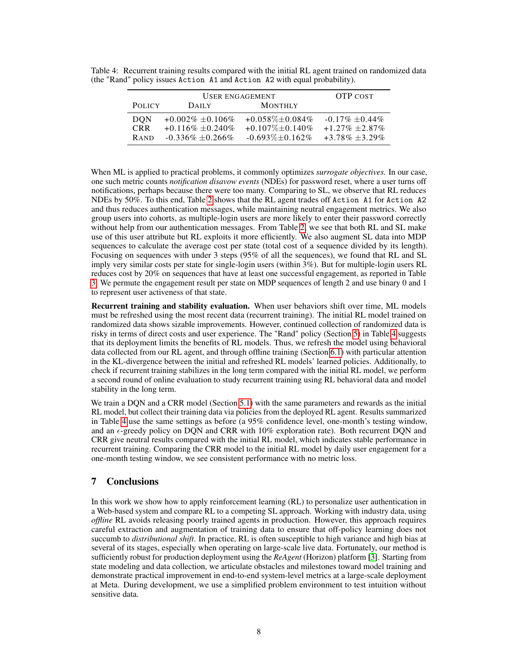<span id="page-7-0"></span>Table 4: Recurrent training results compared with the initial RL agent trained on randomized data (the "Rand" policy issues Action A1 and Action A2 with equal probability).

| USER ENGAGEMENT |                      |                        | <b>OTP COST</b>    |
|-----------------|----------------------|------------------------|--------------------|
| <b>POLICY</b>   | <b>DAILY</b>         | <b>MONTHLY</b>         |                    |
| <b>DON</b>      | $+0.002\% +0.106\%$  | $+0.058\% \pm 0.084\%$ | $-0.17\% + 0.44\%$ |
| <b>CRR</b>      | $+0.116\% + 0.240\%$ | $+0.107\% + 0.140\%$   | $+1.27\% + 2.87\%$ |
| <b>RAND</b>     | $-0.336\% + 0.266\%$ | $-0.693\% \pm 0.162\%$ | $+3.78\% + 3.29\%$ |

When ML is applied to practical problems, it commonly optimizes *surrogate objectives.* In our case, one such metric counts *notification disavow events* (NDEs) for password reset, where a user turns off notifications, perhaps because there were too many. Comparing to SL, we observe that RL reduces NDEs by 50%. To this end, Table [2](#page-6-1) shows that the RL agent trades off Action A1 for Action A2 and thus reduces authentication messages, while maintaining neutral engagement metrics. We also group users into cohorts, as multiple-login users are more likely to enter their password correctly without help from our authentication messages. From Table [2,](#page-6-1) we see that both RL and SL make use of this user attribute but RL exploits it more efficiently. We also augment SL data into MDP sequences to calculate the average cost per state (total cost of a sequence divided by its length). Focusing on sequences with under 3 steps (95% of all the sequences), we found that RL and SL imply very similar costs per state for single-login users (within 3%). But for multiple-login users RL reduces cost by 20% on sequences that have at least one successful engagement, as reported in Table [3.](#page-6-2) We permute the engagement result per state on MDP sequences of length 2 and use binary 0 and 1 to represent user activeness of that state.

Recurrent training and stability evaluation. When user behaviors shift over time, ML models must be refreshed using the most recent data (recurrent training). The initial RL model trained on randomized data shows sizable improvements. However, continued collection of randomized data is risky in terms of direct costs and user experience. The "Rand" policy (Section [5\)](#page-3-0) in Table [4](#page-7-0) suggests that its deployment limits the benefits of RL models. Thus, we refresh the model using behavioral data collected from our RL agent, and through offline training (Section [6.1\)](#page-5-0) with particular attention in the KL-divergence between the initial and refreshed RL models' learned policies. Additionally, to check if recurrent training stabilizes in the long term compared with the initial RL model, we perform a second round of online evaluation to study recurrent training using RL behavioral data and model stability in the long term.

We train a DQN and a CRR model (Section [5.1\)](#page-4-1) with the same parameters and rewards as the initial RL model, but collect their training data via policies from the deployed RL agent. Results summarized in Table [4](#page-7-0) use the same settings as before (a 95% confidence level, one-month's testing window, and an  $\epsilon$ -greedy policy on DQN and CRR with 10% exploration rate). Both recurrent DQN and CRR give neutral results compared with the initial RL model, which indicates stable performance in recurrent training. Comparing the CRR model to the initial RL model by daily user engagement for a one-month testing window, we see consistent performance with no metric loss.

## 7 Conclusions

In this work we show how to apply reinforcement learning (RL) to personalize user authentication in a Web-based system and compare RL to a competing SL approach. Working with industry data, using *offline* RL avoids releasing poorly trained agents in production. However, this approach requires careful extraction and augmentation of training data to ensure that off-policy learning does not succumb to *distributional shift*. In practice, RL is often susceptible to high variance and high bias at several of its stages, especially when operating on large-scale live data. Fortunately, our method is sufficiently robust for production deployment using the *ReAgent* (Horizon) platform [\[3\]](#page-8-12). Starting from state modeling and data collection, we articulate obstacles and milestones toward model training and demonstrate practical improvement in end-to-end system-level metrics at a large-scale deployment at Meta. During development, we use a simplified problem environment to test intuition without sensitive data.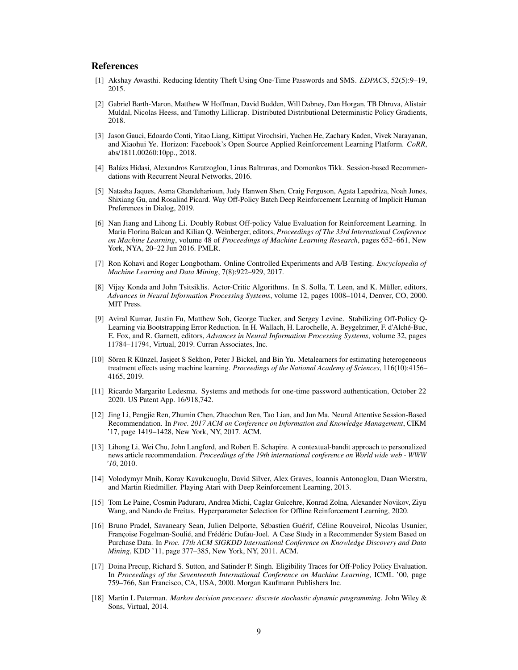#### References

- <span id="page-8-8"></span>[1] Akshay Awasthi. Reducing Identity Theft Using One-Time Passwords and SMS. *EDPACS*, 52(5):9–19, 2015.
- <span id="page-8-11"></span>[2] Gabriel Barth-Maron, Matthew W Hoffman, David Budden, Will Dabney, Dan Horgan, TB Dhruva, Alistair Muldal, Nicolas Heess, and Timothy Lillicrap. Distributed Distributional Deterministic Policy Gradients, 2018.
- <span id="page-8-12"></span>[3] Jason Gauci, Edoardo Conti, Yitao Liang, Kittipat Virochsiri, Yuchen He, Zachary Kaden, Vivek Narayanan, and Xiaohui Ye. Horizon: Facebook's Open Source Applied Reinforcement Learning Platform. *CoRR*, abs/1811.00260:10pp., 2018.
- <span id="page-8-0"></span>[4] Balázs Hidasi, Alexandros Karatzoglou, Linas Baltrunas, and Domonkos Tikk. Session-based Recommendations with Recurrent Neural Networks, 2016.
- <span id="page-8-13"></span>[5] Natasha Jaques, Asma Ghandeharioun, Judy Hanwen Shen, Craig Ferguson, Agata Lapedriza, Noah Jones, Shixiang Gu, and Rosalind Picard. Way Off-Policy Batch Deep Reinforcement Learning of Implicit Human Preferences in Dialog, 2019.
- <span id="page-8-15"></span>[6] Nan Jiang and Lihong Li. Doubly Robust Off-policy Value Evaluation for Reinforcement Learning. In Maria Florina Balcan and Kilian Q. Weinberger, editors, *Proceedings of The 33rd International Conference on Machine Learning*, volume 48 of *Proceedings of Machine Learning Research*, pages 652–661, New York, NYA, 20–22 Jun 2016. PMLR.
- <span id="page-8-4"></span>[7] Ron Kohavi and Roger Longbotham. Online Controlled Experiments and A/B Testing. *Encyclopedia of Machine Learning and Data Mining*, 7(8):922–929, 2017.
- <span id="page-8-10"></span>[8] Vijay Konda and John Tsitsiklis. Actor-Critic Algorithms. In S. Solla, T. Leen, and K. Müller, editors, *Advances in Neural Information Processing Systems*, volume 12, pages 1008–1014, Denver, CO, 2000. MIT Press.
- <span id="page-8-6"></span>[9] Aviral Kumar, Justin Fu, Matthew Soh, George Tucker, and Sergey Levine. Stabilizing Off-Policy Q-Learning via Bootstrapping Error Reduction. In H. Wallach, H. Larochelle, A. Beygelzimer, F. d'Alché-Buc, E. Fox, and R. Garnett, editors, *Advances in Neural Information Processing Systems*, volume 32, pages 11784–11794, Virtual, 2019. Curran Associates, Inc.
- <span id="page-8-17"></span>[10] Sören R Künzel, Jasjeet S Sekhon, Peter J Bickel, and Bin Yu. Metalearners for estimating heterogeneous treatment effects using machine learning. *Proceedings of the National Academy of Sciences*, 116(10):4156– 4165, 2019.
- <span id="page-8-7"></span>[11] Ricardo Margarito Ledesma. Systems and methods for one-time password authentication, October 22 2020. US Patent App. 16/918,742.
- <span id="page-8-1"></span>[12] Jing Li, Pengjie Ren, Zhumin Chen, Zhaochun Ren, Tao Lian, and Jun Ma. Neural Attentive Session-Based Recommendation. In *Proc. 2017 ACM on Conference on Information and Knowledge Management*, CIKM '17, page 1419–1428, New York, NY, 2017. ACM.
- <span id="page-8-9"></span>[13] Lihong Li, Wei Chu, John Langford, and Robert E. Schapire. A contextual-bandit approach to personalized news article recommendation. *Proceedings of the 19th international conference on World wide web - WWW '10*, 2010.
- <span id="page-8-5"></span>[14] Volodymyr Mnih, Koray Kavukcuoglu, David Silver, Alex Graves, Ioannis Antonoglou, Daan Wierstra, and Martin Riedmiller. Playing Atari with Deep Reinforcement Learning, 2013.
- <span id="page-8-16"></span>[15] Tom Le Paine, Cosmin Paduraru, Andrea Michi, Caglar Gulcehre, Konrad Zolna, Alexander Novikov, Ziyu Wang, and Nando de Freitas. Hyperparameter Selection for Offline Reinforcement Learning, 2020.
- <span id="page-8-2"></span>[16] Bruno Pradel, Savaneary Sean, Julien Delporte, Sébastien Guérif, Céline Rouveirol, Nicolas Usunier, Françoise Fogelman-Soulié, and Frédéric Dufau-Joel. A Case Study in a Recommender System Based on Purchase Data. In *Proc. 17th ACM SIGKDD International Conference on Knowledge Discovery and Data Mining*, KDD '11, page 377–385, New York, NY, 2011. ACM.
- <span id="page-8-14"></span>[17] Doina Precup, Richard S. Sutton, and Satinder P. Singh. Eligibility Traces for Off-Policy Policy Evaluation. In *Proceedings of the Seventeenth International Conference on Machine Learning*, ICML '00, page 759–766, San Francisco, CA, USA, 2000. Morgan Kaufmann Publishers Inc.
- <span id="page-8-3"></span>[18] Martin L Puterman. *Markov decision processes: discrete stochastic dynamic programming*. John Wiley & Sons, Virtual, 2014.